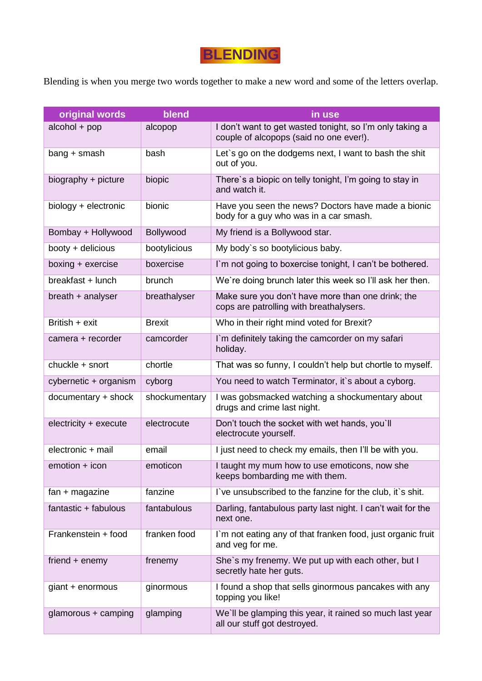## **BLENDING**

Blending is when you merge two words together to make a new word and some of the letters overlap.

| original words        | blend         | in use                                                                                              |
|-----------------------|---------------|-----------------------------------------------------------------------------------------------------|
| alcohol + pop         | alcopop       | I don't want to get wasted tonight, so I'm only taking a<br>couple of alcopops (said no one ever!). |
| $bang + smash$        | bash          | Let's go on the dodgems next, I want to bash the shit<br>out of you.                                |
| biography + picture   | biopic        | There's a biopic on telly tonight, I'm going to stay in<br>and watch it.                            |
| biology + electronic  | bionic        | Have you seen the news? Doctors have made a bionic<br>body for a guy who was in a car smash.        |
| Bombay + Hollywood    | Bollywood     | My friend is a Bollywood star.                                                                      |
| booty + delicious     | bootylicious  | My body's so bootylicious baby.                                                                     |
| boxing + exercise     | boxercise     | I'm not going to boxercise tonight, I can't be bothered.                                            |
| breakfast + lunch     | brunch        | We're doing brunch later this week so I'll ask her then.                                            |
| breath + analyser     | breathalyser  | Make sure you don't have more than one drink; the<br>cops are patrolling with breathalysers.        |
| British + exit        | <b>Brexit</b> | Who in their right mind voted for Brexit?                                                           |
| camera + recorder     | camcorder     | I'm definitely taking the camcorder on my safari<br>holiday.                                        |
| chuckle + snort       | chortle       | That was so funny, I couldn't help but chortle to myself.                                           |
| cybernetic + organism | cyborg        | You need to watch Terminator, it's about a cyborg.                                                  |
| documentary + shock   | shockumentary | I was gobsmacked watching a shockumentary about<br>drugs and crime last night.                      |
| electricity + execute | electrocute   | Don't touch the socket with wet hands, you'll<br>electrocute yourself.                              |
| electronic + mail     | email         | I just need to check my emails, then I'll be with you.                                              |
| emotion + icon        | emoticon      | I taught my mum how to use emoticons, now she<br>keeps bombarding me with them.                     |
| $fan + magazine$      | fanzine       | I've unsubscribed to the fanzine for the club, it's shit.                                           |
| fantastic + fabulous  | fantabulous   | Darling, fantabulous party last night. I can't wait for the<br>next one.                            |
| Frankenstein + food   | franken food  | I'm not eating any of that franken food, just organic fruit<br>and veg for me.                      |
| friend $+$ enemy      | frenemy       | She's my frenemy. We put up with each other, but I<br>secretly hate her guts.                       |
| giant + enormous      | ginormous     | I found a shop that sells ginormous pancakes with any<br>topping you like!                          |
| glamorous + camping   | glamping      | We'll be glamping this year, it rained so much last year<br>all our stuff got destroyed.            |